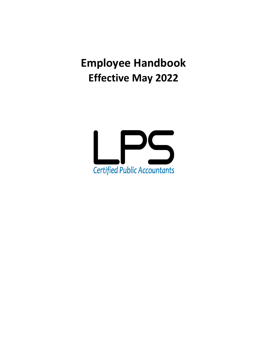**Employee Handbook Effective May 2022**

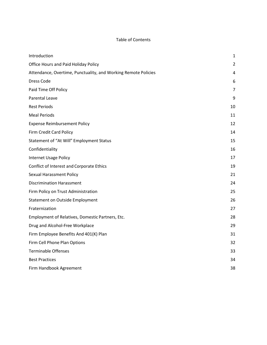# Table of Contents

| Introduction                                                   | 1              |
|----------------------------------------------------------------|----------------|
| Office Hours and Paid Holiday Policy                           | $\overline{2}$ |
| Attendance, Overtime, Punctuality, and Working Remote Policies | 4              |
| <b>Dress Code</b>                                              | 6              |
| Paid Time Off Policy                                           | $\overline{7}$ |
| Parental Leave                                                 | 9              |
| <b>Rest Periods</b>                                            | 10             |
| <b>Meal Periods</b>                                            | 11             |
| <b>Expense Reimbursement Policy</b>                            | 12             |
| Firm Credit Card Policy                                        | 14             |
| Statement of "At Will" Employment Status                       | 15             |
| Confidentiality                                                | 16             |
| <b>Internet Usage Policy</b>                                   | 17             |
| Conflict of Interest and Corporate Ethics                      | 19             |
| <b>Sexual Harassment Policy</b>                                | 21             |
| <b>Discrimination Harassment</b>                               | 24             |
| Firm Policy on Trust Administration                            | 25             |
| <b>Statement on Outside Employment</b>                         | 26             |
| Fraternization                                                 | 27             |
| Employment of Relatives, Domestic Partners, Etc.               | 28             |
| Drug and Alcohol-Free Workplace                                | 29             |
| Firm Employee Benefits And 401(K) Plan                         | 31             |
| Firm Cell Phone Plan Options                                   | 32             |
| <b>Terminable Offenses</b>                                     | 33             |
| <b>Best Practices</b>                                          | 34             |
| Firm Handbook Agreement                                        | 38             |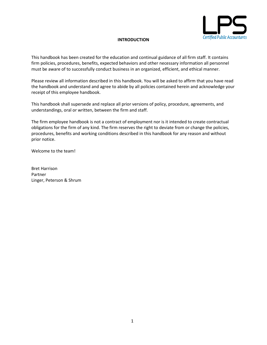

# **INTRODUCTION**

<span id="page-2-0"></span>This handbook has been created for the education and continual guidance of all firm staff. It contains firm policies, procedures, benefits, expected behaviors and other necessary information all personnel must be aware of to successfully conduct business in an organized, efficient, and ethical manner.

Please review all information described in this handbook. You will be asked to affirm that you have read the handbook and understand and agree to abide by all policies contained herein and acknowledge your receipt of this employee handbook.

This handbook shall supersede and replace all prior versions of policy, procedure, agreements, and understandings, oral or written, between the firm and staff.

The firm employee handbook is not a contract of employment nor is it intended to create contractual obligations for the firm of any kind. The firm reserves the right to deviate from or change the policies, procedures, benefits and working conditions described in this handbook for any reason and without prior notice.

Welcome to the team!

Bret Harrison Partner Linger, Peterson & Shrum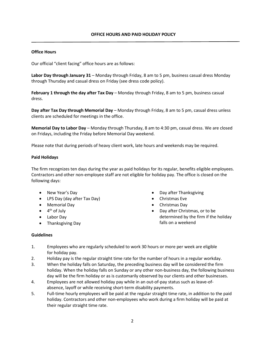# <span id="page-3-0"></span>**Office Hours**

Our official "client facing" office hours are as follows:

**Labor Day through January 31** – Monday through Friday, 8 am to 5 pm, business casual dress Monday through Thursday and casual dress on Friday (see dress code policy).

**February 1 through the day after Tax Day** – Monday through Friday, 8 am to 5 pm, business casual dress.

**Day after Tax Day through Memorial Day** – Monday through Friday, 8 am to 5 pm, casual dress unless clients are scheduled for meetings in the office.

**Memorial Day to Labor Day** – Monday through Thursday, 8 am to 4:30 pm, casual dress. We are closed on Fridays, including the Friday before Memorial Day weekend.

Please note that during periods of heavy client work, late hours and weekends may be required.

## **Paid Holidays**

The firm recognizes ten days during the year as paid holidays for its regular, benefits eligible employees. Contractors and other non-employee staff are not eligible for holiday pay. The office is closed on the following days:

- New Year's Day
- LPS Day (day after Tax Day)
- Memorial Day
- $\bullet$  4<sup>th</sup> of July
- Labor Day
- Thanksgiving Day
- Day after Thanksgiving
- Christmas Eve
- Christmas Day
- Day after Christmas, or to be determined by the firm if the holiday falls on a weekend

## **Guidelines**

- 1. Employees who are regularly scheduled to work 30 hours or more per week are eligible for holiday pay.
- 2. Holiday pay is the regular straight time rate for the number of hours in a regular workday.
- 3. When the holiday falls on Saturday, the preceding business day will be considered the firm holiday. When the holiday falls on Sunday or any other non-business day, the following business day will be the firm holiday or as is customarily observed by our clients and other businesses.
- 4. Employees are not allowed holiday pay while in an out-of-pay status such as leave-ofabsence, layoff or while receiving short-term disability payments.
- 5. Full-time hourly employees will be paid at the regular straight time rate, in addition to the paid holiday. Contractors and other non-employees who work during a firm holiday will be paid at their regular straight time rate.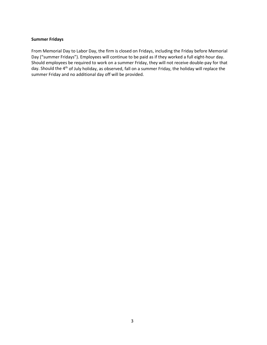## **Summer Fridays**

From Memorial Day to Labor Day, the firm is closed on Fridays, including the Friday before Memorial Day ("summer Fridays"). Employees will continue to be paid as if they worked a full eight-hour day. Should employees be required to work on a summer Friday, they will not receive double-pay for that day. Should the 4<sup>th</sup> of July holiday, as observed, fall on a summer Friday, the holiday will replace the summer Friday and no additional day off will be provided.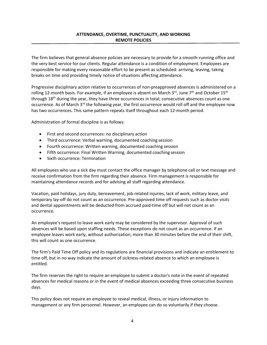# <span id="page-5-0"></span>**ATTENDANCE, OVERTIME, PUNCTUALITY, AND WORKING REMOTE POLICIES**

The firm believes that general absence policies are necessary to provide for a smooth-running office and the very best service for our clients. Regular attendance is a condition of employment. Employees are responsible for making every reasonable effort to be present as scheduled: arriving, leaving, taking breaks on time and providing timely notice of situations affecting attendance.

Progressive disciplinary action relative to occurrences of non-preapproved absences is administered on a rolling 12-month basis. For example, if an employee is absent on March  $3^{\text{rd}}$ , June  $7^{\text{th}}$  and October 15<sup>th</sup> through 18<sup>th</sup> during the year, they have three occurrences in total; consecutive absences count as one occurrence. As of March 3<sup>rd</sup> the following year, the first occurrence would roll off and the employee now has two occurrences. This same pattern repeats itself throughout each 12-month period.

Administration of formal discipline is as follows:

- First and second occurrences: no disciplinary action
- Third occurrence: Verbal warning, documented coaching session
- Fourth occurrence: Written warning, documented coaching session
- Fifth occurrence: Final Written Warning, documented coaching session
- Sixth occurrence: Termination

All employees who use a sick day must contact the office manager by telephone call or text message and receive confirmation from the firm regarding their absence. Firm management is responsible for maintaining attendance records and for advising all staff regarding attendance.

Vacation, paid holidays, jury duty, bereavement, job-related injuries, lack of work, military leave, and temporary lay-off do not count as an occurrence. Pre-approved time off requests such as doctor visits and dental appointments will be deducted from accrued paid-time off but will not count as an occurrence.

An employee's request to leave work early may be considered by the supervisor. Approval of such absences will be based upon staffing needs. These exceptions do not count as an occurrence. If an employee leaves work early, without authorization, more than 30 minutes before the end of their shift, this will count as one occurrence.

The firm's Paid Time Off policy and its regulations are financial provisions and indicate an entitlement to time off, but in no way indicate the amount of sickness-related absence to which an employee is entitled.

The firm reserves the right to require an employee to submit a doctor's note in the event of repeated absences for medical reasons or in the event of medical absences exceeding three consecutive business days.

This policy does not require an employee to reveal medical, illness, or injury information to management or any firm personnel. However, an employee can do so voluntarily if they choose.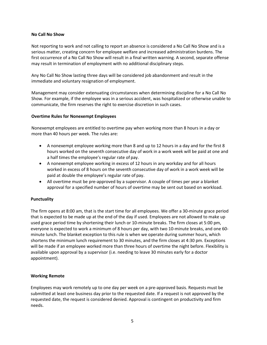## **No Call No Show**

Not reporting to work and not calling to report an absence is considered a No Call No Show and is a serious matter, creating concern for employee welfare and increased administration burdens. The first occurrence of a No Call No Show will result in a final written warning. A second, separate offense may result in termination of employment with no additional disciplinary steps.

Any No Call No Show lasting three days will be considered job abandonment and result in the immediate and voluntary resignation of employment.

Management may consider extenuating circumstances when determining discipline for a No Call No Show. For example, if the employee was in a serious accident, was hospitalized or otherwise unable to communicate, the firm reserves the right to exercise discretion in such cases.

## **Overtime Rules for Nonexempt Employees**

Nonexempt employees are entitled to overtime pay when working more than 8 hours in a day or more than 40 hours per week. The rules are:

- A nonexempt employee working more than 8 and up to 12 hours in a day and for the first 8 hours worked on the seventh consecutive day of work in a work week will be paid at one and a half times the employee's regular rate of pay.
- A nonexempt employee working in excess of 12 hours in any workday and for all hours worked in excess of 8 hours on the seventh consecutive day of work in a work week will be paid at double the employee's regular rate of pay.
- All overtime must be pre-approved by a supervisor. A couple of times per year a blanket approval for a specified number of hours of overtime may be sent out based on workload.

## **Punctuality**

The firm opens at 8:00 am, that is the start time for all employees. We offer a 30-minute grace period that is expected to be made up at the end of the day if used. Employees are not allowed to make up used grace period time by shortening their lunch or 10-minute breaks. The firm closes at 5:00 pm, everyone is expected to work a minimum of 8 hours per day, with two 10-minute breaks, and one 60 minute lunch. The blanket exception to this rule is when we operate during summer hours, which shortens the minimum lunch requirement to 30 minutes, and the firm closes at 4:30 pm. Exceptions will be made if an employee worked more than three hours of overtime the night before. Flexibility is available upon approval by a supervisor (i.e. needing to leave 30 minutes early for a doctor appointment).

#### **Working Remote**

Employees may work remotely up to one day per week on a pre-approved basis. Requests must be submitted at least one business day prior to the requested date. If a request is not approved by the requested date, the request is considered denied. Approval is contingent on productivity and firm needs.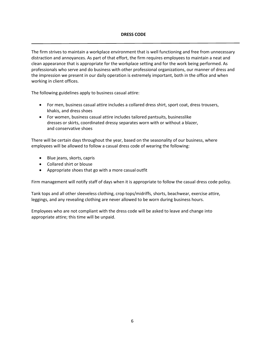## <span id="page-7-0"></span>**DRESS CODE**

The firm strives to maintain a workplace environment that is well functioning and free from unnecessary distraction and annoyances. As part of that effort, the firm requires employees to maintain a neat and clean appearance that is appropriate for the workplace setting and for the work being performed. As professionals who serve and do business with other professional organizations, our manner of dress and the impression we present in our daily operation is extremely important, both in the office and when working in client offices.

The following guidelines apply to business casual attire:

- For men, business casual attire includes a collared dress shirt, sport coat, dress trousers, khakis, and dress shoes
- For women, business casual attire includes tailored pantsuits, businesslike dresses or skirts, coordinated dressy separates worn with or without a blazer, and conservative shoes

There will be certain days throughout the year, based on the seasonality of our business, where employees will be allowed to follow a casual dress code of wearing the following:

- Blue jeans, skorts, capris
- Collared shirt or blouse
- Appropriate shoes that go with a more casual outfit

Firm management will notify staff of days when it is appropriate to follow the casual dress code policy.

Tank tops and all other sleeveless clothing, crop tops/midriffs, shorts, beachwear, exercise attire, leggings, and any revealing clothing are never allowed to be worn during business hours.

Employees who are not compliant with the dress code will be asked to leave and change into appropriate attire; this time will be unpaid.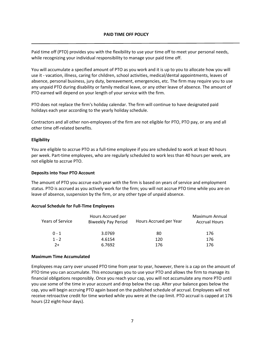## <span id="page-8-0"></span>**PAID TIME OFF POLICY**

Paid time off (PTO) provides you with the flexibility to use your time off to meet your personal needs, while recognizing your individual responsibility to manage your paid time off.

You will accumulate a specified amount of PTO as you work and it is up to you to allocate how you will use it - vacation, illness, caring for children, school activities, medical/dental appointments, leaves of absence, personal business, jury duty, bereavement, emergencies, etc. The firm may require you to use any unpaid PTO during disability or family medical leave, or any other leave of absence. The amount of PTO earned will depend on your length of your service with the firm.

PTO does not replace the firm's holiday calendar. The firm will continue to have designated paid holidays each year according to the yearly holiday schedule.

Contractors and all other non-employees of the firm are not eligible for PTO, PTO pay, or any and all other time off-related benefits.

#### **Eligibility**

You are eligible to accrue PTO as a full-time employee if you are scheduled to work at least 40 hours per week. Part-time employees, who are regularly scheduled to work less than 40 hours per week, are not eligible to accrue PTO.

#### **Deposits into Your PTO Account**

The amount of PTO you accrue each year with the firm is based on years of service and employment status. PTO is accrued as you actively work for the firm; you will not accrue PTO time while you are on leave of absence, suspension by the firm, or any other type of unpaid absence.

## **Accrual Schedule for Full-Time Employees**

| <b>Years of Service</b> | Hours Accrued per<br><b>Biweekly Pay Period</b> | Hours Accrued per Year | Maximum Annual<br><b>Accrual Hours</b> |
|-------------------------|-------------------------------------------------|------------------------|----------------------------------------|
| $0 - 1$                 | 3.0769                                          | 80                     | 176                                    |
| $1 - 2$                 | 4.6154                                          | 120                    | 176                                    |
| $2+$                    | 6.7692                                          | 176                    | 176                                    |

#### **Maximum Time Accumulated**

Employees may carry over unused PTO time from year to year, however, there is a cap on the amount of PTO time you can accumulate. This encourages you to use your PTO and allows the firm to manage its financial obligations responsibly. Once you reach your cap, you will not accumulate any more PTO until you use some of the time in your account and drop below the cap. After your balance goes below the cap, you will begin accruing PTO again based on the published schedule of accrual. Employees will not receive retroactive credit for time worked while you were at the cap limit. PTO accrual is capped at 176 hours (22 eight-hour days).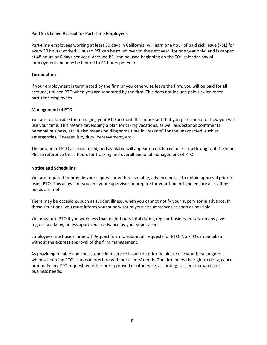## **Paid Sick Leave Accrual for Part-Time Employees**

Part-time employees working at least 30 days in California, will earn one hour of paid sick leave (PSL) for every 30 hours worked. Unused PSL can be rolled over to the next year (for one year only) and is capped at 48 hours or 6 days per year. Accrued PSL can be used beginning on the 90<sup>th</sup> calendar day of employment and may be limited to 24 hours per year.

#### **Termination**

If your employment is terminated by the firm or you otherwise leave the firm, you will be paid for all accrued, unused PTO when you are separated by the firm. This does not include paid sick leave for part-time employees.

#### **Management of PTO**

You are responsible for managing your PTO account. It is important that you plan ahead for how you will use your time. This means developing a plan for taking vacations, as well as doctor appointments, personal business, etc. It also means holding some time in "reserve" for the unexpected, such as emergencies, illnesses, jury duty, bereavement, etc.

The amount of PTO accrued, used, and available will appear on each paycheck stub throughout the year. Please reference these hours for tracking and overall personal management of PTO.

#### **Notice and Scheduling**

You are required to provide your supervisor with reasonable, advance notice to obtain approval prior to using PTO. This allows for you and your supervisor to prepare for your time off and ensure all staffing needs are met.

There may be occasions, such as sudden illness, when you cannot notify your supervisor in advance. In those situations, you must inform your supervisor of your circumstances as soon as possible.

You must use PTO if you work less than eight hours total during regular business hours, on any given regular workday, unless approved in advance by your supervisor.

Employees must use a Time Off Request form to submit all requests for PTO. No PTO can be taken without the express approval of the firm management.

As providing reliable and consistent client service is our top priority, please use your best judgment when scheduling PTO as to not interfere with our clients' needs. The firm holds the right to deny, cancel, or modify any PTO request, whether pre-approved or otherwise, according to client demand and business needs.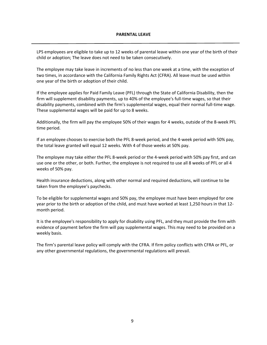#### **PARENTAL LEAVE**

<span id="page-10-0"></span>LPS employees are eligible to take up to 12 weeks of parental leave within one year of the birth of their child or adoption; The leave does not need to be taken consecutively.

The employee may take leave in increments of no less than one week at a time, with the exception of two times, in accordance with the California Family Rights Act (CFRA). All leave must be used within one year of the birth or adoption of their child.

If the employee applies for Paid Family Leave (PFL) through the State of California Disability, then the firm will supplement disability payments, up to 40% of the employee's full-time wages, so that their disability payments, combined with the firm's supplemental wages, equal their normal full-time wage. These supplemental wages will be paid for up to 8 weeks.

Additionally, the firm will pay the employee 50% of their wages for 4 weeks, outside of the 8-week PFL time period.

If an employee chooses to exercise both the PFL 8-week period, and the 4-week period with 50% pay, the total leave granted will equal 12 weeks. With 4 of those weeks at 50% pay.

The employee may take either the PFL 8-week period or the 4-week period with 50% pay first, and can use one or the other, or both. Further, the employee is not required to use all 8 weeks of PFL or all 4 weeks of 50% pay.

Health insurance deductions, along with other normal and required deductions, will continue to be taken from the employee's paychecks.

To be eligible for supplemental wages and 50% pay, the employee must have been employed for one year prior to the birth or adoption of the child, and must have worked at least 1,250 hours in that 12 month period.

It is the employee's responsibility to apply for disability using PFL, and they must provide the firm with evidence of payment before the firm will pay supplemental wages. This may need to be provided on a weekly basis.

The firm's parental leave policy will comply with the CFRA. If firm policy conflicts with CFRA or PFL, or any other governmental regulations, the governmental regulations will prevail.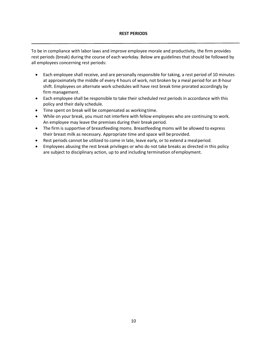# <span id="page-11-0"></span>**REST PERIODS**

To be in compliance with labor laws and improve employee morale and productivity, the firm provides rest periods (break) during the course of each workday. Below are guidelines that should be followed by all employees concerning rest periods:

- Each employee shall receive, and are personally responsible for taking, a rest period of 10 minutes at approximately the middle of every 4 hours of work, not broken by a meal period for an 8-hour shift. Employees on alternate work schedules will have rest break time prorated accordingly by firm management.
- Each employee shall be responsible to take their scheduled rest periods in accordance with this policy and their daily schedule.
- Time spent on break will be compensated as working time.
- While on your break, you must not interfere with fellow employees who are continuing to work. An employee may leave the premises during their break period.
- The firm is supportive of breastfeeding moms. Breastfeeding moms will be allowed to express their breast milk as necessary. Appropriate time and space will be provided.
- Rest periods cannot be utilized to come in late, leave early, or to extend a mealperiod.
- Employees abusing the rest break privileges or who do not take breaks as directed in this policy are subject to disciplinary action, up to and including termination ofemployment.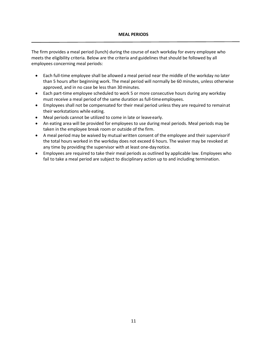<span id="page-12-0"></span>The firm provides a meal period (lunch) during the course of each workday for every employee who meets the eligibility criteria. Below are the criteria and guidelines that should be followed by all employees concerning meal periods:

- Each full-time employee shall be allowed a meal period near the middle of the workday no later than 5 hours after beginning work. The meal period will normally be 60 minutes, unless otherwise approved, and in no case be less than 30minutes.
- Each part-time employee scheduled to work 5 or more consecutive hours during any workday must receive a meal period of the same duration as full-time employees.
- Employees shall not be compensated for their meal period unless they are required to remainat their workstations while eating.
- Meal periods cannot be utilized to come in late or leave early.
- An eating area will be provided for employees to use during meal periods. Meal periods may be taken in the employee break room or outside of the firm.
- A meal period may be waived by mutual written consent of the employee and their supervisorif the total hours worked in the workday does not exceed 6 hours. The waiver may be revoked at any time by providing the supervisor with at least one-daynotice.
- Employees are required to take their meal periods as outlined by applicable law. Employees who fail to take a meal period are subject to disciplinary action up to and including termination.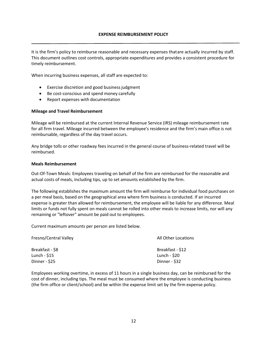<span id="page-13-0"></span>It is the firm's policy to reimburse reasonable and necessary expenses thatare actually incurred by staff. This document outlines cost controls, appropriate expenditures and provides a consistent procedure for timely reimbursement.

When incurring business expenses, all staff are expected to:

- Exercise discretion and good business judgment
- Be cost-conscious and spend money carefully
- Report expenses with documentation

#### **Mileage and Travel Reimbursement**

Mileage will be reimbursed at the current Internal Revenue Service (IRS) mileage reimbursement rate for all firm travel. Mileage incurred between the employee's residence and the firm's main office is not reimbursable, regardless of the day travel occurs.

Any bridge tolls or other roadway fees incurred in the general course of business-related travel will be reimbursed.

#### **Meals Reimbursement**

Out-Of-Town Meals: Employees traveling on behalf of the firm are reimbursed for the reasonable and actual costs of meals, including tips, up to set amounts established by the firm.

The following establishes the maximum amount the firm will reimburse for individual food purchases on a per meal basis, based on the geographical area where firm business is conducted. If an incurred expense is greater than allowed for reimbursement, the employee will be liable for any difference. Meal limits or funds not fully spent on meals cannot be rolled into other meals to increase limits, nor will any remaining or "leftover" amount be paid out to employees.

Current maximum amounts per person are listed below.

| Fresno/Central Valley | All Other Locations |
|-----------------------|---------------------|
| Breakfast - \$8       | Breakfast - \$12    |
| Lunch - \$15          | Lunch - \$20        |
| Dinner - \$25         | Dinner - \$32       |

Employees working overtime, in excess of 11 hours in a single business day, can be reimbursed for the cost of dinner, including tips. The meal must be consumed where the employee is conducting business (the firm office or client/school) and be within the expense limit set by the firm expense policy.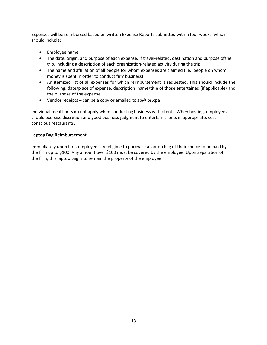Expenses will be reimbursed based on written Expense Reports submitted within four weeks, which should include:

- Employee name
- The date, origin, and purpose of each expense. If travel-related, destination and purpose ofthe trip, including a description of each organization-related activity during thetrip
- The name and affiliation of all people for whom expenses are claimed (i.e., people on whom money is spent in order to conduct firm business)
- An itemized list of all expenses for which reimbursement is requested. This should include the following: date/place of expense, description, name/title of those entertained (if applicable) and the purpose of the expense
- Vendor receipts can be a copy or emailed to ap@lps.cpa

Individual meal limits do not apply when conducting business with clients. When hosting, employees should exercise discretion and good business judgment to entertain clients in appropriate, costconscious restaurants.

# **Laptop Bag Reimbursement**

Immediately upon hire, employees are eligible to purchase a laptop bag of their choice to be paid by the firm up to \$100. Any amount over \$100 must be covered by the employee. Upon separation of the firm, this laptop bag is to remain the property of the employee.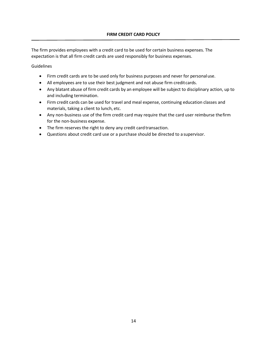<span id="page-15-0"></span>The firm provides employees with a credit card to be used for certain business expenses. The expectation is that all firm credit cards are used responsibly for business expenses.

**Guidelines** 

- Firm credit cards are to be used only for business purposes and never for personaluse.
- All employees are to use their best judgment and not abuse firm creditcards.
- Any blatant abuse of firm credit cards by an employee will be subject to disciplinary action, up to and including termination.
- Firm credit cards can be used for travel and meal expense, continuing education classes and materials, taking a client to lunch, etc.
- Any non-business use of the firm credit card may require that the card user reimburse thefirm for the non-business expense.
- The firm reserves the right to deny any credit card transaction.
- Questions about credit card use or a purchase should be directed to a supervisor.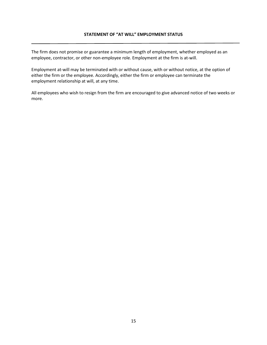<span id="page-16-0"></span>The firm does not promise or guarantee a minimum length of employment, whether employed as an employee, contractor, or other non-employee role. Employment at the firm is at-will.

Employment at-will may be terminated with or without cause, with or without notice, at the option of either the firm or the employee. Accordingly, either the firm or employee can terminate the employment relationship at will, at any time.

All employees who wish to resign from the firm are encouraged to give advanced notice of two weeks or more.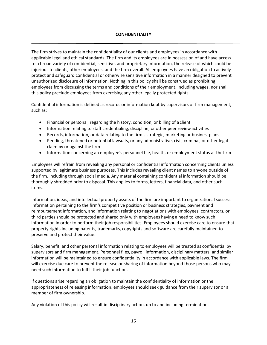# <span id="page-17-0"></span>**CONFIDENTIALITY**

The firm strives to maintain the confidentiality of our clients and employees in accordance with applicable legal and ethical standards. The firm and its employees are in possession of and have access to a broad variety of confidential, sensitive, and proprietary information, the release of which could be injurious to clients, other employees, and the firm overall. All employees have an obligation to actively protect and safeguard confidential or otherwise sensitive information in a manner designed to prevent unauthorized disclosure of information. Nothing in this policy shall be construed as prohibiting employees from discussing the terms and conditions of their employment, including wages, nor shall this policy preclude employees from exercising any other legally protected rights.

Confidential information is defined as records or information kept by supervisors or firm management, such as:

- Financial or personal, regarding the history, condition, or billing of a client
- Information relating to staff credentialing, discipline, or other peer review activities
- Records, information, or data relating to the firm's strategic, marketing or businessplans
- Pending, threatened or potential lawsuits, or any administrative, civil, criminal, or other legal claim by or against the firm
- Information concerning an employee's personnel file, health, or employment status at thefirm

Employees will refrain from revealing any personal or confidential information concerning clients unless supported by legitimate business purposes. This includes revealing client names to anyone outside of the firm, including through social media. Any material containing confidential information should be thoroughly shredded prior to disposal. This applies to forms, letters, financial data, and other such items.

Information, ideas, and intellectual property assets of the firm are important to organizational success. Information pertaining to the firm's competitive position or business strategies, payment and reimbursement information, and information relating to negotiations with employees, contractors, or third parties should be protected and shared only with employees having a need to know such information in order to perform their job responsibilities. Employees should exercise care to ensure that property rights including patents, trademarks, copyrights and software are carefully maintained to preserve and protect their value.

Salary, benefit, and other personal information relating to employees will be treated as confidential by supervisors and firm management. Personnel files, payroll information, disciplinary matters, and similar information will be maintained to ensure confidentiality in accordance with applicable laws. The firm will exercise due care to prevent the release or sharing of information beyond those persons who may need such information to fulfill their job function.

If questions arise regarding an obligation to maintain the confidentiality of information or the appropriateness of releasing information, employees should seek guidance from their supervisor or a member of firm ownership.

Any violation of this policy will result in disciplinary action, up to and including termination.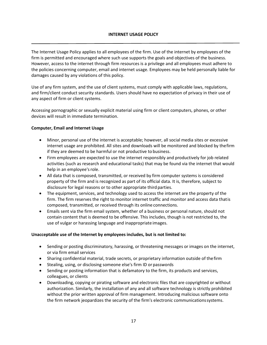# <span id="page-18-0"></span>**INTERNET USAGE POLICY**

The Internet Usage Policy applies to all employees of the firm. Use of the internet by employees of the firm is permitted and encouraged where such use supports the goals and objectives of the business. However, access to the internet through firm resources is a privilege and all employees must adhere to the policies concerning computer, email and internet usage. Employees may be held personally liable for damages caused by any violations of this policy.

Use of any firm system, and the use of client systems, must comply with applicable laws, regulations, and firm/client conduct security standards. Users should have no expectation of privacy in their use of any aspect of firm or client systems.

Accessing pornographic or sexually explicit material using firm or client computers, phones, or other devices will result in immediate termination.

## **Computer, Email and Internet Usage**

- Minor, personal use of the internet is acceptable; however, all social media sites or excessive internet usage are prohibited. All sites and downloads will be monitored and blocked by thefirm if they are deemed to be harmful or not productive to business.
- Firm employees are expected to use the internet responsibly and productively for job related activities (such as research and educational tasks) that may be found via the internet that would help in an employee's role.
- All data that is composed, transmitted, or received by firm computer systems is considered property of the firm and is recognized as part of its official data. It is, therefore, subject to disclosure for legal reasons or to other appropriate third parties.
- The equipment, services, and technology used to access the internet are the property of the firm. The firm reserves the right to monitor internet traffic and monitor and access data thatis composed, transmitted, or received through its online connections.
- Emails sent via the firm email system, whether of a business or personal nature, should not contain content that is deemed to be offensive. This includes, though is not restricted to, the use of vulgar or harassing language and inappropriate images.

## **Unacceptable use of the Internet by employees includes, but is not limited to:**

- Sending or posting discriminatory, harassing, or threatening messages or images on the internet, or via firm email services
- Sharing confidential material, trade secrets, or proprietary information outside of thefirm
- Stealing, using, or disclosing someone else's firm ID or passwords
- Sending or posting information that is defamatory to the firm, its products and services, colleagues, or clients
- Downloading, copying or pirating software and electronic files that are copyrighted or without authorization. Similarly, the installation of any and all software technology is strictly prohibited without the prior written approval of firm management. Introducing malicious software onto the firm network jeopardizes the security of the firm's electronic communicationssystems.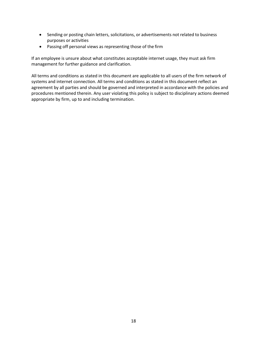- Sending or posting chain letters, solicitations, or advertisements not related to business purposes or activities
- Passing off personal views as representing those of the firm

If an employee is unsure about what constitutes acceptable internet usage, they must ask firm management for further guidance and clarification.

All terms and conditions as stated in this document are applicable to all users of the firm network of systems and internet connection. All terms and conditions as stated in this document reflect an agreement by all parties and should be governed and interpreted in accordance with the policies and procedures mentioned therein. Any user violating this policy is subject to disciplinary actions deemed appropriate by firm, up to and including termination.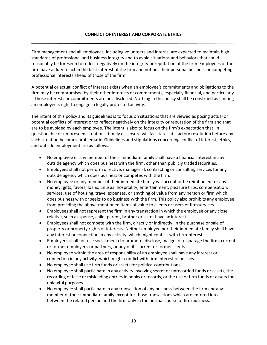# <span id="page-20-0"></span>**CONFLICT OF INTEREST AND CORPORATE ETHICS**

Firm management and all employees, including volunteers and interns, are expected to maintain high standards of professional and business integrity and to avoid situations and behaviors that could reasonably be foreseen to reflect negatively on the integrity or reputation of the firm. Employees of the firm have a duty to act in the best interest of the firm and not put their personal business or competing professional interests ahead of those of the firm.

A potential or actual conflict of interest exists when an employee's commitments and obligations to the firm may be compromised by their other interests or commitments, especially financial, and particularly if those interests or commitments are not disclosed. Nothing in this policy shall be construed as limiting an employee's right to engage in legally protected activity.

The intent of this policy and its guidelines is to focus on situations that are viewed as posing actual or potential conflicts of interest or to reflect negatively on the integrity or reputation of the firm and that are to be avoided by each employee. The intent is also to focus on the firm's expectation that, in questionable or unforeseen situations, timely disclosure will facilitate satisfactory resolution before any such situation becomes problematic. Guidelines and stipulations concerning conflict of interest, ethics, and outside employment are as follows:

- No employee or any member of their immediate family shall have a financial interest in any outside agency which does business with the firm, other than publicly tradedsecurities.
- Employees shall not perform directive, managerial, contracting or consulting services for any outside agency which does business or competes with the firm.
- No employee or any member of their immediate family will accept or be reimbursed for any money, gifts, favors, loans, unusual hospitality, entertainment, pleasure trips, compensation, services, use of housing, travel expenses, or anything of value from any person or firm which does business with or seeks to do business with the firm. This policy also prohibits any employee from providing the above-mentioned items of value to clients or users of firmservices.
- Employees shall not represent the firm in any transaction in which the employee or any close relative, such as spouse, child, parent, brother or sister have an interest.
- Employees shall not compete with the firm, directly or indirectly, in the purchase or sale of property or property rights or interests. Neither employee nor their immediate family shall have any interest or connection in any activity, which might conflict with firminterests.
- Employees shall not use social media to promote, disclose, malign, or disparage the firm, current or former employees or partners, or any of its current or former clients.
- No employee within the area of responsibility of an employee shall have any interest or connection in any activity, which might conflict with firm interest orpolicies.
- No employee shall use firm funds or assets for political contributions.
- No employee shall participate in any activity involving secret or unrecorded funds or assets, the recording of false or misleading entries in books or records, or the use of firm funds or assets for unlawful purposes.
- No employee shall participate in any transaction of any business between the firm andany member of their immediate family except for those transactions which are entered into between the related person and the firm only in the normal course of firmbusiness.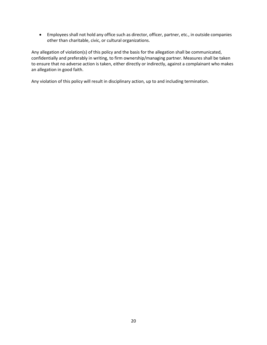• Employees shall not hold any office such as director, officer, partner, etc., in outside companies other than charitable, civic, or cultural organizations.

Any allegation of violation(s) of this policy and the basis for the allegation shall be communicated, confidentially and preferably in writing, to firm ownership/managing partner. Measures shall be taken to ensure that no adverse action is taken, either directly or indirectly, against a complainant who makes an allegation in good faith.

Any violation of this policy will result in disciplinary action, up to and including termination.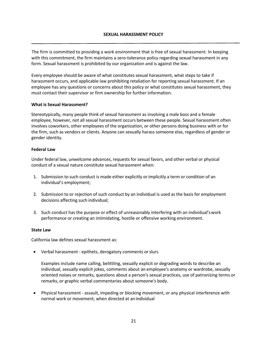## <span id="page-22-0"></span>**SEXUAL HARASSMENT POLICY**

The firm is committed to providing a work environment that is free of sexual harassment. In keeping with this commitment, the firm maintains a zero-tolerance policy regarding sexual harassment in any form. Sexual harassment is prohibited by our organization and is against the law.

Every employee should be aware of what constitutes sexual harassment, what steps to take if harassment occurs, and applicable law prohibiting retaliation for reporting sexual harassment. If an employee has any questions or concerns about this policy or what constitutes sexual harassment, they must contact their supervisor or firm ownership for further information.

#### **What is Sexual Harassment?**

Stereotypically, many people think of sexual harassment as involving a male boss and a female employee, however, not all sexual harassment occurs between these people. Sexual harassment often involves coworkers, other employees of the organization, or other persons doing business with or for the firm, such as vendors or clients. Anyone can sexually harass someone else, regardless of gender or gender identity.

#### **Federal Law**

Under federal law, unwelcome advances, requests for sexual favors, and other verbal or physical conduct of a sexual nature constitute sexual harassment when:

- 1. Submission to such conduct is made either explicitly or implicitly a term or condition of an individual's employment;
- 2. Submission to or rejection of such conduct by an individual is used as the basis for employment decisions affecting such individual;
- 3. Such conduct has the purpose or effect of unreasonably interfering with an individual'swork performance or creating an intimidating, hostile or offensive working environment.

#### **State Law**

California law defines sexual harassment as:

• Verbal harassment - epithets, derogatory comments orslurs

Examples include name calling, belittling, sexually explicit or degrading words to describe an individual, sexually explicit jokes, comments about an employee's anatomy or wardrobe, sexually oriented noises or remarks, questions about a person's sexual practices, use of patronizing terms or remarks, or graphic verbal commentaries about someone's body.

• Physical harassment - assault, impeding or blocking movement, or any physical interference with normal work or movement, when directed at an individual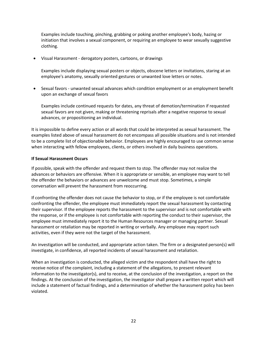Examples include touching, pinching, grabbing or poking another employee's body, hazing or initiation that involves a sexual component, or requiring an employee to wear sexually suggestive clothing.

• Visual Harassment - derogatory posters, cartoons, or drawings

Examples include displaying sexual posters or objects, obscene letters or invitations, staring at an employee's anatomy, sexually oriented gestures or unwanted love letters or notes.

• Sexual favors - unwanted sexual advances which condition employment or an employment benefit upon an exchange of sexual favors

Examples include continued requests for dates, any threat of demotion/termination if requested sexual favors are not given, making or threatening reprisals after a negative response to sexual advances, or propositioning an individual.

It is impossible to define every action or all words that could be interpreted as sexual harassment. The examples listed above of sexual harassment do not encompass all possible situations and is not intended to be a complete list of objectionable behavior. Employees are highly encouraged to use common sense when interacting with fellow employees, clients, or others involved in daily business operations.

## **If Sexual Harassment Occurs**

If possible, speak with the offender and request them to stop. The offender may not realize the advances or behaviors are offensive. When it is appropriate or sensible, an employee may want to tell the offender the behaviors or advances are unwelcome and must stop. Sometimes, a simple conversation will prevent the harassment from reoccurring.

If confronting the offender does not cause the behavior to stop, or if the employee is not comfortable confronting the offender, the employee must immediately report the sexual harassment by contacting their supervisor. If the employee reports the harassment to the supervisor and is not comfortable with the response, or if the employee is not comfortable with reporting the conduct to their supervisor, the employee must immediately report it to the Human Resources manager or managing partner. Sexual harassment or retaliation may be reported in writing or verbally. Any employee may report such activities, even if they were not the target of the harassment.

An investigation will be conducted, and appropriate action taken. The firm or a designated person(s) will investigate, in confidence, all reported incidents of sexual harassment and retaliation.

When an investigation is conducted, the alleged victim and the respondent shall have the right to receive notice of the complaint, including a statement of the allegations, to present relevant information to the investigator(s), and to receive, at the conclusion of the investigation, a report on the findings. At the conclusion of the investigation, the investigator shall prepare a written report which will include a statement of factual findings, and a determination of whether the harassment policy has been violated.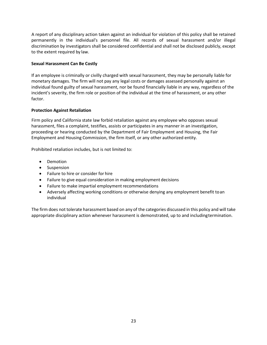A report of any disciplinary action taken against an individual for violation of this policy shall be retained permanently in the individual's personnel file. All records of sexual harassment and/or illegal discrimination by investigators shall be considered confidential and shall not be disclosed publicly, except to the extent required by law.

# **Sexual Harassment Can Be Costly**

If an employee is criminally or civilly charged with sexual harassment, they may be personally liable for monetary damages. The firm will not pay any legal costs or damages assessed personally against an individual found guilty of sexual harassment, nor be found financially liable in any way, regardless of the incident's severity, the firm role or position of the individual at the time of harassment, or any other factor.

# **Protection Against Retaliation**

Firm policy and California state law forbid retaliation against any employee who opposes sexual harassment, files a complaint, testifies, assists or participates in any manner in an investigation, proceeding or hearing conducted by the Department of Fair Employment and Housing, the Fair Employment and Housing Commission, the firm itself, or any other authorized entity.

Prohibited retaliation includes, but is not limited to:

- Demotion
- Suspension
- Failure to hire or consider for hire
- Failure to give equal consideration in making employment decisions
- Failure to make impartial employment recommendations
- Adversely affecting working conditions or otherwise denying any employment benefit toan individual

The firm does not tolerate harassment based on any of the categories discussed in this policy and will take appropriate disciplinary action whenever harassment is demonstrated, up to and includingtermination.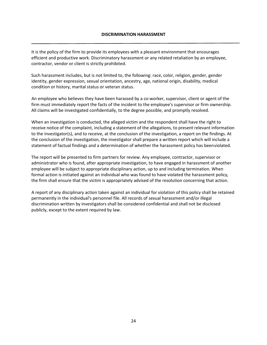#### <span id="page-25-0"></span>**DISCRIMINATION HARASSMENT**

It is the policy of the firm to provide its employees with a pleasant environment that encourages efficient and productive work. Discriminatory harassment or any related retaliation by an employee, contractor, vendor or client is strictly prohibited.

Such harassment includes, but is not limited to, the following: race, color, religion, gender, gender identity, gender expression, sexual orientation, ancestry, age, national origin, disability, medical condition or history, marital status or veteran status.

An employee who believes they have been harassed by a co-worker, supervisor, client or agent of the firm must immediately report the facts of the incident to the employee's supervisor or firm ownership. All claims will be investigated confidentially, to the degree possible, and promptly resolved.

When an investigation is conducted, the alleged victim and the respondent shall have the right to receive notice of the complaint, including a statement of the allegations, to present relevant information to the investigator(s), and to receive, at the conclusion of the investigation, a report on the findings. At the conclusion of the investigation, the investigator shall prepare a written report which will include a statement of factual findings and a determination of whether the harassment policy has beenviolated.

The report will be presented to firm partners for review. Any employee, contractor, supervisor or administrator who is found, after appropriate investigation, to have engaged in harassment of another employee will be subject to appropriate disciplinary action, up to and including termination. When formal action is initiated against an individual who was found to have violated the harassment policy, the firm shall ensure that the victim is appropriately advised of the resolution concerning that action.

A report of any disciplinary action taken against an individual for violation of this policy shall be retained permanently in the individual's personnel file. All records of sexual harassment and/or illegal discrimination written by investigators shall be considered confidential and shall not be disclosed publicly, except to the extent required by law.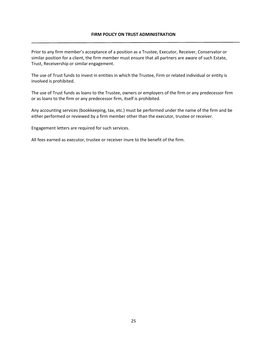## <span id="page-26-0"></span>**FIRM POLICY ON TRUST ADMINISTRATION**

Prior to any firm member's acceptance of a position as a Trustee, Executor, Receiver, Conservator or similar position for a client, the firm member must ensure that all partners are aware of such Estate, Trust, Receivership or similar engagement.

The use of Trust funds to invest in entities in which the Trustee, Firm or related individual or entity is involved is prohibited.

The use of Trust funds as loans to the Trustee, owners or employers of the firm or any predecessor firm or as loans to the firm or any predecessor firm, itself is prohibited.

Any accounting services (bookkeeping, tax, etc.) must be performed under the name of the firm and be either performed or reviewed by a firm member other than the executor, trustee or receiver.

Engagement letters are required for such services.

All fees earned as executor, trustee or receiver inure to the benefit of the firm.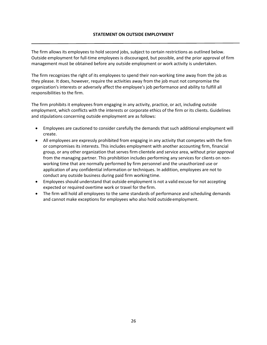# <span id="page-27-0"></span>**STATEMENT ON OUTSIDE EMPLOYMENT**

The firm allows its employees to hold second jobs, subject to certain restrictions as outlined below. Outside employment for full-time employees is discouraged, but possible, and the prior approval of firm management must be obtained before any outside employment or work activity is undertaken.

The firm recognizes the right of its employees to spend their non-working time away from the job as they please. It does, however, require the activities away from the job must not compromise the organization's interests or adversely affect the employee's job performance and ability to fulfill all responsibilities to the firm.

The firm prohibits it employees from engaging in any activity, practice, or act, including outside employment, which conflicts with the interests or corporate ethics of the firm or its clients. Guidelines and stipulations concerning outside employment are as follows:

- Employees are cautioned to consider carefully the demands that such additional employment will create.
- All employees are expressly prohibited from engaging in any activity that competes with the firm or compromises its interests. This includes employment with another accounting firm, financial group, or any other organization that serves firm clientele and service area, without prior approval from the managing partner. This prohibition includes performing any services for clients on nonworking time that are normally performed by firm personnel and the unauthorized use or application of any confidential information or techniques. In addition, employees are not to conduct any outside business during paid firm working time.
- Employees should understand that outside employment is not a valid excuse for not accepting expected or required overtime work or travel for the firm.
- The firm will hold all employees to the same standards of performance and scheduling demands and cannot make exceptions for employees who also hold outside employment.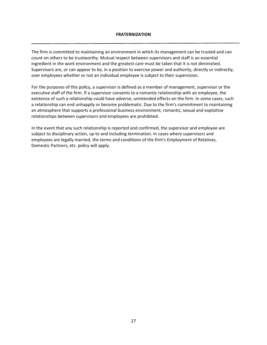#### <span id="page-28-0"></span>**FRATERNIZATION**

The firm is committed to maintaining an environment in which its management can be trusted and can count on others to be trustworthy. Mutual respect between supervisors and staff is an essential ingredient in the work environment and the greatest care must be taken that it is not diminished. Supervisors are, or can appear to be, in a position to exercise power and authority, directly or indirectly, over employees whether or not an individual employee is subject to their supervision.

For the purposes of this policy, a supervisor is defined as a member of management, supervisor or the executive staff of the firm. If a supervisor consents to a romantic relationship with an employee, the existence of such a relationship could have adverse, unintended effects on the firm. In some cases, such a relationship can end unhappily or become problematic. Due to the firm's commitment to maintaining an atmosphere that supports a professional business environment, romantic, sexual and exploitive relationships between supervisors and employees are prohibited.

In the event that any such relationship is reported and confirmed, the supervisor and employee are subject to disciplinary action, up to and including termination. In cases where supervisors and employees are legally married, the terms and conditions of the firm's Employment of Relatives, Domestic Partners, etc. policy will apply.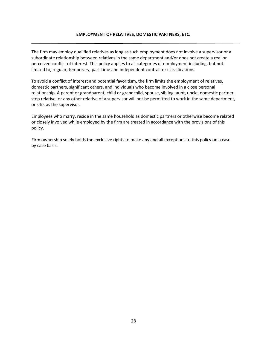## <span id="page-29-0"></span>**EMPLOYMENT OF RELATIVES, DOMESTIC PARTNERS, ETC.**

The firm may employ qualified relatives as long as such employment does not involve a supervisor or a subordinate relationship between relatives in the same department and/or does not create a real or perceived conflict of interest. This policy applies to all categories of employment including, but not limited to, regular, temporary, part-time and independent contractor classifications.

To avoid a conflict of interest and potential favoritism, the firm limits the employment of relatives, domestic partners, significant others, and individuals who become involved in a close personal relationship. A parent or grandparent, child or grandchild, spouse, sibling, aunt, uncle, domestic partner, step relative, or any other relative of a supervisor will not be permitted to work in the same department, or site, as the supervisor.

Employees who marry, reside in the same household as domestic partners or otherwise become related or closely involved while employed by the firm are treated in accordance with the provisions of this policy.

Firm ownership solely holds the exclusive rights to make any and all exceptions to this policy on a case by case basis.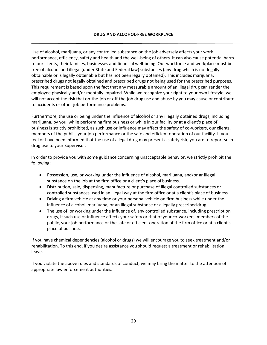<span id="page-30-0"></span>Use of alcohol, marijuana, or any controlled substance on the job adversely affects your work performance, efficiency, safety and health and the well-being of others. It can also cause potential harm to our clients, their families, businesses and financial well-being. Our workforce and workplace must be free of alcohol and illegal (under State and Federal law) substances (any drug which is not legally obtainable or is legally obtainable but has not been legally obtained). This includes marijuana, prescribed drugs not legally obtained and prescribed drugs not being used for the prescribed purposes. This requirement is based upon the fact that any measurable amount of an illegal drug can render the employee physically and/or mentally impaired. While we recognize your right to your own lifestyle, we will not accept the risk that on-the-job or off-the-job drug use and abuse by you may cause or contribute to accidents or other job performance problems.

Furthermore, the use or being under the influence of alcohol or any illegally obtained drugs, including marijuana, by you, while performing firm business or while in our facility or at a client's place of business is strictly prohibited, as such use or influence may affect the safety of co-workers, our clients, members of the public, your job performance or the safe and efficient operation of our facility. If you feel or have been informed that the use of a legal drug may present a safety risk, you are to report such drug use to your Supervisor.

In order to provide you with some guidance concerning unacceptable behavior, we strictly prohibit the following:

- Possession, use, or working under the influence of alcohol, marijuana, and/or anillegal substance on the job at the firm office or a client's place of business.
- Distribution, sale, dispensing, manufacture or purchase of illegal controlled substances or controlled substances used in an illegal way at the firm office or at a client's place of business.
- Driving a firm vehicle at any time or your personal vehicle on firm business while under the influence of alcohol, marijuana, or an illegal substance or a legally prescribeddrug.
- The use of, or working under the influence of, any controlled substance, including prescription drugs, if such use or influence affects your safety or that of your co-workers, members of the public, your job performance or the safe or efficient operation of the firm office or at a client's place of business.

If you have chemical dependencies (alcohol or drugs) we will encourage you to seek treatment and/or rehabilitation. To this end, if you desire assistance you should request a treatment or rehabilitation leave.

If you violate the above rules and standards of conduct, we may bring the matter to the attention of appropriate law enforcement authorities.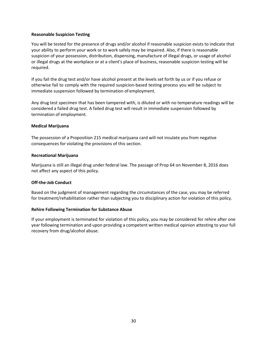## **Reasonable Suspicion Testing**

You will be tested for the presence of drugs and/or alcohol if reasonable suspicion exists to indicate that your ability to perform your work or to work safely may be impaired. Also, if there is reasonable suspicion of your possession, distribution, dispensing, manufacture of illegal drugs, or usage of alcohol or illegal drugs at the workplace or at a client's place of business, reasonable suspicion testing will be required.

If you fail the drug test and/or have alcohol present at the levels set forth by us or if you refuse or otherwise fail to comply with the required suspicion-based testing process you will be subject to immediate suspension followed by termination of employment.

Any drug test specimen that has been tampered with, is diluted or with no temperature readings will be considered a failed drug test. A failed drug test will result in immediate suspension followed by termination of employment.

#### **Medical Marijuana**

The possession of a Proposition 215 medical marijuana card will not insulate you from negative consequences for violating the provisions of this section.

#### **Recreational Marijuana**

Marijuana is still an illegal drug under federal law. The passage of Prop 64 on November 8, 2016 does not affect any aspect of this policy.

## **Off-the-Job Conduct**

Based on the judgment of management regarding the circumstances of the case, you may be referred for treatment/rehabilitation rather than subjecting you to disciplinary action for violation of this policy.

## **Rehire Following Termination for Substance Abuse**

If your employment is terminated for violation of this policy, you may be considered for rehire after one year following termination and upon providing a competent written medical opinion attesting to your full recovery from drug/alcohol abuse.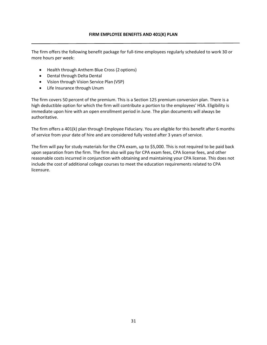<span id="page-32-0"></span>The firm offers the following benefit package for full-time employees regularly scheduled to work 30 or more hours per week:

- Health through Anthem Blue Cross (2 options)
- Dental through Delta Dental
- Vision through Vision Service Plan (VSP)
- Life Insurance through Unum

The firm covers 50 percent of the premium. This is a Section 125 premium conversion plan. There is a high deductible option for which the firm will contribute a portion to the employees' HSA. Eligibility is immediate upon hire with an open enrollment period in June. The plan documents will always be authoritative.

The firm offers a 401(k) plan through Employee Fiduciary. You are eligible for this benefit after 6 months of service from your date of hire and are considered fully vested after 3 years of service.

The firm will pay for study materials for the CPA exam, up to \$5,000. This is not required to be paid back upon separation from the firm. The firm also will pay for CPA exam fees, CPA license fees, and other reasonable costs incurred in conjunction with obtaining and maintaining your CPA license. This does not include the cost of additional college courses to meet the education requirements related to CPA licensure.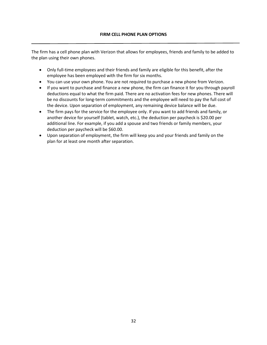The firm has a cell phone plan with Verizon that allows for employees, friends and family to be added to the plan using their own phones.

- <span id="page-33-0"></span>• Only full-time employees and their friends and family are eligible for this benefit, after the employee has been employed with the firm for six months.
- You can use your own phone. You are not required to purchase a new phone from Verizon.
- If you want to purchase and finance a new phone, the firm can finance it for you through payroll deductions equal to what the firm paid. There are no activation fees for new phones. There will be no discounts for long-term commitments and the employee will need to pay the full cost of the device. Upon separation of employment, any remaining device balance will be due.
- The firm pays for the service for the employee only. If you want to add friends and family, or another device for yourself (tablet, watch, etc.), the deduction per paycheck is \$20.00 per additional line. For example, if you add a spouse and two friends or family members, your deduction per paycheck will be \$60.00.
- Upon separation of employment, the firm will keep you and your friends and family on the plan for at least one month after separation.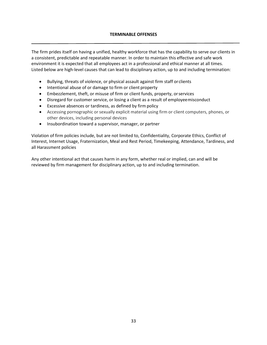# **[TERMINABLE OFFENSES](#page-34-0)**

<span id="page-34-0"></span>The firm prides itself on having a unified, healthy workforce that has the capability to serve our clients in a consistent, predictable and repeatable manner. In order to maintain this effective and safe work environment it is expected that all employees act in a professional and ethical manner at all times. Listed below are high-level causes that can lead to disciplinary action, up to and including termination:

- Bullying, threats of violence, or physical assault against firm staff orclients
- Intentional abuse of or damage to firm or client property
- Embezzlement, theft, or misuse of firm or client funds, property, orservices
- Disregard for customer service, or losing a client as a result of employeemisconduct
- Excessive absences or tardiness, as defined by firm policy
- Accessing pornographic or sexually explicit material using firm or client computers, phones, or other devices, including personal devices
- Insubordination toward a supervisor, manager, or partner

Violation of firm policies include, but are not limited to, Confidentiality, Corporate Ethics, Conflict of Interest, Internet Usage, Fraternization, Meal and Rest Period, Timekeeping, Attendance, Tardiness, and all Harassment policies

Any other intentional act that causes harm in any form, whether real or implied, can and will be reviewed by firm management for disciplinary action, up to and including termination.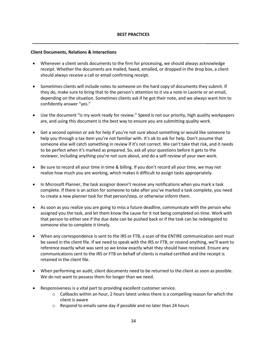#### <span id="page-35-0"></span>**Client Documents, Relations & Interactions**

- Whenever a client sends documents to the firm for processing, we should always acknowledge receipt. Whether the documents are mailed, faxed, emailed, or dropped in the drop box, a client should always receive a call or email confirming receipt.
- Sometimes clients will include notes to someone on the hard copy of documents they submit. If they do, make sure to bring that to the person's attention to it via a note in Lacerte or an email, depending on the situation. Sometimes clients ask if he got their note, and we always want him to confidently answer "yes."
- Use the document "is my work ready for review." Speed is not our priority, high quality workpapers are, and using this document is the best way to ensure you are submitting quality work.
- Get a second opinion or ask for help if you're not sure about something or would like someone to help you through a tax item you're not familiar with. It's ok to ask for help. Don't assume that someone else will catch something in review if it's not correct. We can't take that risk, and it needs to be perfect when it's marked as prepared. So, ask all your questions before it gets to the reviewer, including anything you're not sure about, and do a self-review of your own work.
- Be sure to record all your time in time & billing. If you don't record all your time, we may not realize how much you are working, which makes it difficult to assign tasks appropriately.
- In Microsoft Planner, the task assignor doesn't receive any notifications when you mark a task complete. If there is an action for someone to take after you've marked a task complete, you need to create a new planner task for that person/step, or otherwise inform them.
- As soon as you realize you are going to miss a future deadline, communicate with the person who assigned you the task, and let them know the cause for it not being completed on time. Work with that person to either see if the due date can be pushed back or if the task can be redelegated to someone else to complete it timely.
- When any correspondence is sent to the IRS or FTB, a scan of the ENTIRE communication sent must be saved in the client file. If we need to speak with the IRS or FTB, or resend anything, we'll want to reference exactly what was sent so we know exactly what they should have received. Ensure any communications sent to the IRS or FTB on behalf of clients is mailed certified and the receipt is retained in the client file.
- When performing an audit, client documents need to be returned to the client as soon as possible. We do not want to possess them for longer than we need.
- Responsiveness is a vital part to providing excellent customer service.
	- $\circ$  Callbacks within an hour, 2 hours latest unless there is a compelling reason for which the client is aware
	- o Respond to emails same day if possible and no later than 24 hours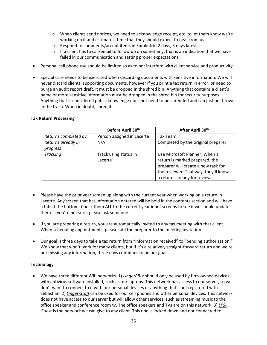- $\circ$  When clients send notices, we need to acknowledge receipt, etc. to let them know we're working on it and estimate a time that they should expect to hear from us
- o Respond to comments/accept items in Suralink in 2 days, 3 days latest
- $\circ$  If a client has to call/email to follow up on something, that is an indication that we have failed in our communication and setting proper expectations
- Personal cell phone use should be limited so as to not interfere with client service and productivity.
- Special care needs to be exercised when discarding documents with sensitive information. We will never discard clients' supporting documents, however if you print a tax return in error, or need to purge an audit report draft, it must be dropped in the shred bin. Anything that contains a client's name or more sensitive information must be dropped in the shred bin for security purposes. Anything that is considered public knowledge does not need to be shredded and can just be thrown in the trash. When in doubt, shred it.

#### **Tax Return Processing**

|                      | Before April 30 <sup>th</sup> | After April 30th                     |
|----------------------|-------------------------------|--------------------------------------|
| Returns completed by | Person assigned in Lacerte    | Tax Team                             |
| Returns already in   | N/A                           | Completed by the original preparer   |
| progress             |                               |                                      |
| <b>Tracking</b>      | Track using status in         | Use Microsoft Planner: When a        |
|                      | Lacerte                       | return is marked prepared, the       |
|                      |                               | preparer will create a new task for  |
|                      |                               | the reviewer; That way, they'll know |
|                      |                               | a return is ready for review         |

- Please have the prior year screen up along with the current year when working on a return in Lacerte. Any screen that has information entered will be bold in the contents section and will have a tab at the bottom. Check them ALL to the current year input screens to see if we should update them. If you're not sure, please ask someone.
- If you are preparing a return, you are automatically invited to any tax meeting with that client. When scheduling appointments, please add the preparer to the meeting invitation.
- Our goal is three days to take a tax return from "information received" to "pending authorization." We know that won't work for many clients, but if it's a relatively straight-forward return and we're not missing any information, three days continues to be our goal.

## **Technology**

• We have three different Wifi networks. 1) *LingerPRIV* should only be used by firm-owned devices with antivirus software installed, such as our laptops. This network has access to our server, so we don't want to connect to it with our personal devices or anything that's not registered with Sebastian. 2) *Linger-Staff* can be used for our cell phones and other personal devices. This network does not have access to our server but will allow other services, such as streaming music to the office speaker and conference room tv. The office speakers and TVs are on this network. 3) *LPS-Guest* is the network we can give to any client. This one is locked down and not connected to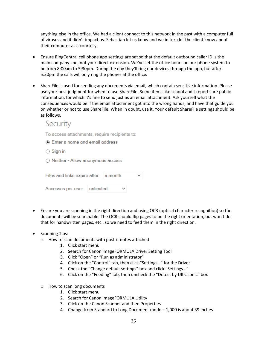anything else in the office. We had a client connect to this network in the past with a computer full of viruses and it didn't impact us. Sebastian let us know and we in turn let the client know about their computer as a courtesy.

- Ensure RingCentral cell phone app settings are set so that the default outbound caller ID is the main company line, not your direct extension. We've set the office hours on our phone system to be from 8:00am to 5:30pm. During the day they'll ring our devices through the app, but after 5:30pm the calls will only ring the phones at the office.
- ShareFile is used for sending any documents via email, which contain sensitive information. Please use your best judgment for when to use ShareFile. Some items like school audit reports are public information, for which it's fine to send just as an email attachment. Ask yourself what the consequences would be if the email attachment got into the wrong hands, and have that guide you on whether or not to use ShareFile. When in doubt, use it. Your default ShareFile settings should be as follows.

# Security

To access attachments, require recipients to:

- Enter a name and email address
- $\bigcirc$  Sign in
- O Neither Allow anonymous access

| Files and links expire after: a month |              | $\check{ }$ |
|---------------------------------------|--------------|-------------|
| Accesses per user: unlimited          | $\checkmark$ |             |

- Ensure you are scanning in the right direction and using OCR (optical character recognition) so the documents will be searchable. The OCR should flip pages to be the right orientation, but won't do that for handwritten pages, etc., so we need to feed them in the right direction.
- Scanning Tips:
	- o How to scan documents with post-it notes attached
		- 1. Click start menu
		- 2. Search for Canon imageFORMULA Driver Setting Tool
		- 3. Click "Open" or "Run as administrator"
		- 4. Click on the "Control" tab, then click "Settings…" for the Driver
		- 5. Check the "Change default settings" box and click "Settings…"
		- 6. Click on the "Feeding" tab, then uncheck the "Detect by Ultrasonic" box
	- o How to scan long documents
		- 1. Click start menu
		- 2. Search for Canon imageFORMULA Utility
		- 3. Click on the Canon Scanner and then Properties
		- 4. Change from Standard to Long Document mode 1,000 is about 39 inches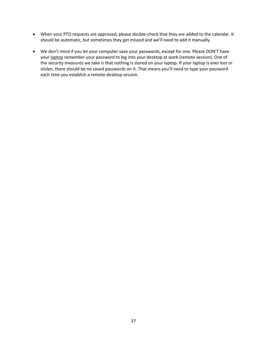- When your PTO requests are approved, please double-check that they are added to the calendar. It should be automatic, but sometimes they get missed and we'll need to add it manually.
- We don't mind if you let your computer save your passwords, except for one. Please DON'T have your laptop remember your password to log into your desktop at work (remote session). One of the security measures we take is that nothing is stored on your laptop. If your laptop is ever lost or stolen, there should be no saved passwords on it. That means you'll need to type your password each time you establish a remote desktop session.